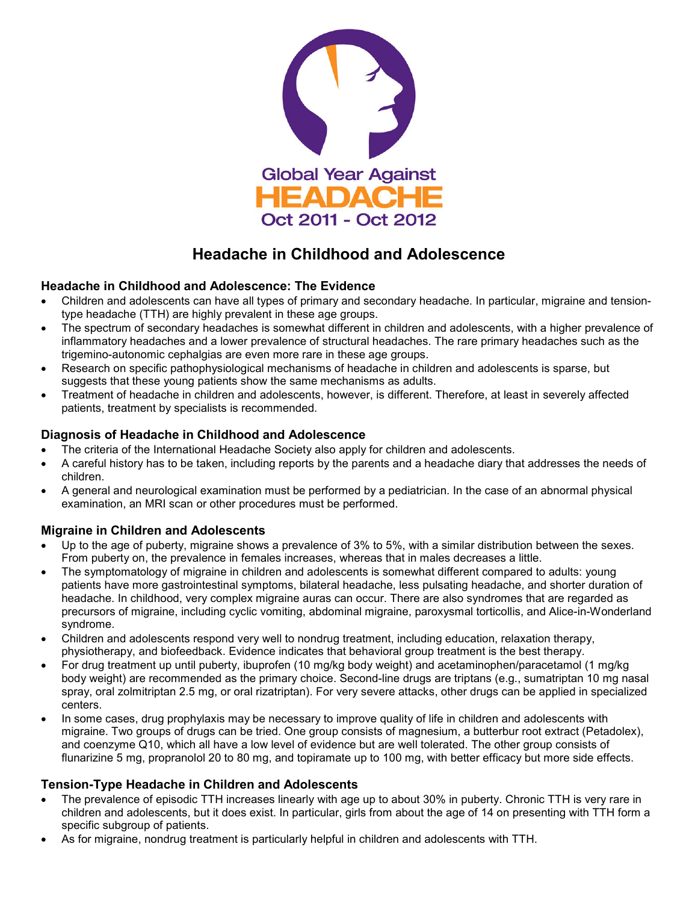

# **Headache in Childhood and Adolescence**

## **Headache in Childhood and Adolescence: The Evidence**

- Children and adolescents can have all types of primary and secondary headache. In particular, migraine and tensiontype headache (TTH) are highly prevalent in these age groups.
- The spectrum of secondary headaches is somewhat different in children and adolescents, with a higher prevalence of inflammatory headaches and a lower prevalence of structural headaches. The rare primary headaches such as the trigemino-autonomic cephalgias are even more rare in these age groups.
- Research on specific pathophysiological mechanisms of headache in children and adolescents is sparse, but suggests that these young patients show the same mechanisms as adults.
- Treatment of headache in children and adolescents, however, is different. Therefore, at least in severely affected patients, treatment by specialists is recommended.

#### **Diagnosis of Headache in Childhood and Adolescence**

- The criteria of the International Headache Society also apply for children and adolescents.
- A careful history has to be taken, including reports by the parents and a headache diary that addresses the needs of children.
- A general and neurological examination must be performed by a pediatrician. In the case of an abnormal physical examination, an MRI scan or other procedures must be performed.

## **Migraine in Children and Adolescents**

- Up to the age of puberty, migraine shows a prevalence of 3% to 5%, with a similar distribution between the sexes. From puberty on, the prevalence in females increases, whereas that in males decreases a little.
- The symptomatology of migraine in children and adolescents is somewhat different compared to adults: young patients have more gastrointestinal symptoms, bilateral headache, less pulsating headache, and shorter duration of headache. In childhood, very complex migraine auras can occur. There are also syndromes that are regarded as precursors of migraine, including cyclic vomiting, abdominal migraine, paroxysmal torticollis, and Alice-in-Wonderland syndrome.
- Children and adolescents respond very well to nondrug treatment, including education, relaxation therapy, physiotherapy, and biofeedback. Evidence indicates that behavioral group treatment is the best therapy.
- For drug treatment up until puberty, ibuprofen (10 mg/kg body weight) and acetaminophen/paracetamol (1 mg/kg body weight) are recommended as the primary choice. Second-line drugs are triptans (e.g., sumatriptan 10 mg nasal spray, oral zolmitriptan 2.5 mg, or oral rizatriptan). For very severe attacks, other drugs can be applied in specialized centers.
- In some cases, drug prophylaxis may be necessary to improve quality of life in children and adolescents with migraine. Two groups of drugs can be tried. One group consists of magnesium, a butterbur root extract (Petadolex), and coenzyme Q10, which all have a low level of evidence but are well tolerated. The other group consists of flunarizine 5 mg, propranolol 20 to 80 mg, and topiramate up to 100 mg, with better efficacy but more side effects.

## **Tension-Type Headache in Children and Adolescents**

- The prevalence of episodic TTH increases linearly with age up to about 30% in puberty. Chronic TTH is very rare in children and adolescents, but it does exist. In particular, girls from about the age of 14 on presenting with TTH form a specific subgroup of patients.
- As for migraine, nondrug treatment is particularly helpful in children and adolescents with TTH.